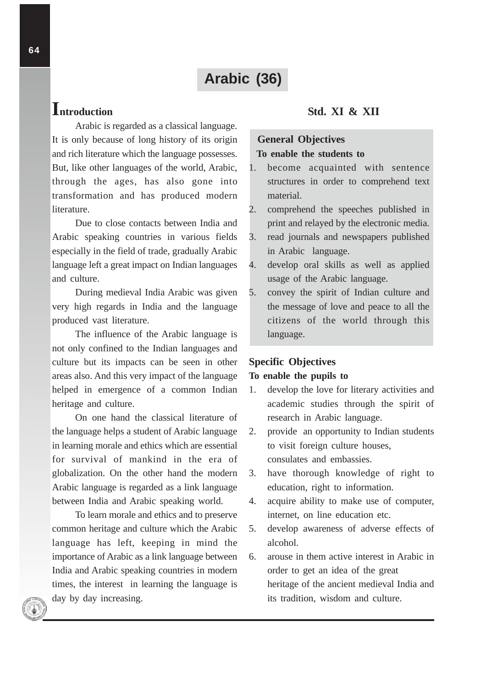# **Arabic (36)**

# **Introduction**

Arabic is regarded as a classical language. It is only because of long history of its origin and rich literature which the language possesses. But, like other languages of the world, Arabic, through the ages, has also gone into transformation and has produced modern literature.

Due to close contacts between India and Arabic speaking countries in various fields especially in the field of trade, gradually Arabic language left a great impact on Indian languages and culture.

During medieval India Arabic was given very high regards in India and the language produced vast literature.

The influence of the Arabic language is not only confined to the Indian languages and culture but its impacts can be seen in other areas also. And this very impact of the language helped in emergence of a common Indian heritage and culture.

On one hand the classical literature of the language helps a student of Arabic language in learning morale and ethics which are essential for survival of mankind in the era of globalization. On the other hand the modern Arabic language is regarded as a link language between India and Arabic speaking world.

To learn morale and ethics and to preserve common heritage and culture which the Arabic language has left, keeping in mind the importance of Arabic as a link language between India and Arabic speaking countries in modern times, the interest in learning the language is day by day increasing.

## **Std. XI & XII**

### **General Objectives To enable the students to**

# 1. become acquainted with sentence structures in order to comprehend text material.

- 2. comprehend the speeches published in print and relayed by the electronic media.
- 3. read journals and newspapers published in Arabic language.
- 4. develop oral skills as well as applied usage of the Arabic language.
- 5. convey the spirit of Indian culture and the message of love and peace to all the citizens of the world through this language.

#### **Specific Objectives**

## **To enable the pupils to**

- 1. develop the love for literary activities and academic studies through the spirit of research in Arabic language.
- 2. provide an opportunity to Indian students to visit foreign culture houses, consulates and embassies.
- 3. have thorough knowledge of right to education, right to information.
- 4. acquire ability to make use of computer, internet, on line education etc.
- 5. develop awareness of adverse effects of alcohol.
- 6. arouse in them active interest in Arabic in order to get an idea of the great heritage of the ancient medieval India and its tradition, wisdom and culture.